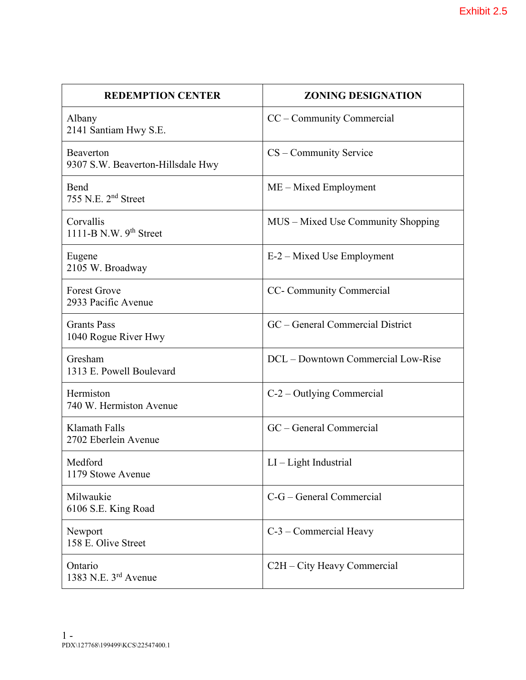| <b>REDEMPTION CENTER</b>                       | <b>ZONING DESIGNATION</b>                |
|------------------------------------------------|------------------------------------------|
| Albany<br>2141 Santiam Hwy S.E.                | CC – Community Commercial                |
| Beaverton<br>9307 S.W. Beaverton-Hillsdale Hwy | CS – Community Service                   |
| Bend<br>755 N.E. 2 <sup>nd</sup> Street        | $ME - Mixed$ Employment                  |
| Corvallis<br>1111-B N.W. $9th$ Street          | MUS – Mixed Use Community Shopping       |
| Eugene<br>2105 W. Broadway                     | E-2 – Mixed Use Employment               |
| <b>Forest Grove</b><br>2933 Pacific Avenue     | CC- Community Commercial                 |
| <b>Grants Pass</b><br>1040 Rogue River Hwy     | GC – General Commercial District         |
| Gresham<br>1313 E. Powell Boulevard            | DCL – Downtown Commercial Low-Rise       |
| Hermiston<br>740 W. Hermiston Avenue           | $C-2$ – Outlying Commercial              |
| <b>Klamath Falls</b><br>2702 Eberlein Avenue   | GC - General Commercial                  |
| Medford<br>1179 Stowe Avenue                   | $LI - Light Industrial$                  |
| Milwaukie<br>6106 S.E. King Road               | C-G – General Commercial                 |
| Newport<br>158 E. Olive Street                 | C-3 - Commercial Heavy                   |
| Ontario<br>1383 N.E. 3rd Avenue                | C <sub>2</sub> H – City Heavy Commercial |